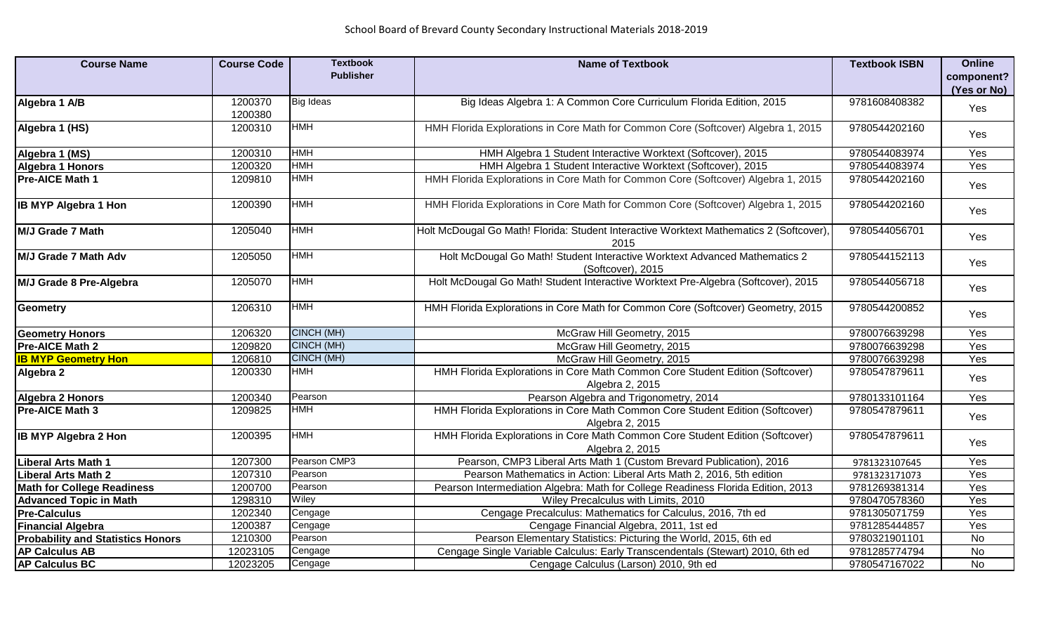| <b>Course Name</b>                       | <b>Course Code</b> | <b>Textbook</b>  | <b>Name of Textbook</b>                                                                          | <b>Textbook ISBN</b> | <b>Online</b>  |
|------------------------------------------|--------------------|------------------|--------------------------------------------------------------------------------------------------|----------------------|----------------|
|                                          |                    | <b>Publisher</b> |                                                                                                  |                      | component?     |
|                                          |                    |                  |                                                                                                  |                      | (Yes or No)    |
| Algebra 1 A/B                            | 1200370<br>1200380 | <b>Big Ideas</b> | Big Ideas Algebra 1: A Common Core Curriculum Florida Edition, 2015                              | 9781608408382        | Yes            |
| Algebra 1 (HS)                           | 1200310            | <b>HMH</b>       | HMH Florida Explorations in Core Math for Common Core (Softcover) Algebra 1, 2015                | 9780544202160        | Yes            |
| Algebra 1 (MS)                           | 1200310            | <b>HMH</b>       | HMH Algebra 1 Student Interactive Worktext (Softcover), 2015                                     | 9780544083974        | Yes            |
| <b>Algebra 1 Honors</b>                  | 1200320            | <b>HMH</b>       | HMH Algebra 1 Student Interactive Worktext (Softcover), 2015                                     | 9780544083974        | Yes            |
| <b>Pre-AICE Math 1</b>                   | 1209810            | <b>HMH</b>       | HMH Florida Explorations in Core Math for Common Core (Softcover) Algebra 1, 2015                | 9780544202160        | Yes            |
| <b>IB MYP Algebra 1 Hon</b>              | 1200390            | <b>HMH</b>       | HMH Florida Explorations in Core Math for Common Core (Softcover) Algebra 1, 2015                | 9780544202160        | Yes            |
| M/J Grade 7 Math                         | 1205040            | <b>HMH</b>       | Holt McDougal Go Math! Florida: Student Interactive Worktext Mathematics 2 (Softcover)<br>2015   | 9780544056701        | Yes            |
| M/J Grade 7 Math Adv                     | 1205050            | <b>HMH</b>       | Holt McDougal Go Math! Student Interactive Worktext Advanced Mathematics 2<br>(Softcover), 2015  | 9780544152113        | Yes            |
| M/J Grade 8 Pre-Algebra                  | 1205070            | <b>HMH</b>       | Holt McDougal Go Math! Student Interactive Worktext Pre-Algebra (Softcover), 2015                | 9780544056718        | Yes            |
| <b>Geometry</b>                          | 1206310            | <b>HMH</b>       | HMH Florida Explorations in Core Math for Common Core (Softcover) Geometry, 2015                 | 9780544200852        | Yes            |
| <b>Geometry Honors</b>                   | 1206320            | CINCH (MH)       | McGraw Hill Geometry, 2015                                                                       | 9780076639298        | Yes            |
| Pre-AICE Math 2                          | 1209820            | CINCH (MH)       | McGraw Hill Geometry, 2015                                                                       | 9780076639298        | Yes            |
| <b>IB MYP Geometry Hon</b>               | 1206810            | CINCH (MH)       | McGraw Hill Geometry, 2015                                                                       | 9780076639298        | Yes            |
| Algebra 2                                | 1200330            | <b>HMH</b>       | HMH Florida Explorations in Core Math Common Core Student Edition (Softcover)<br>Algebra 2, 2015 | 9780547879611        | Yes            |
| <b>Algebra 2 Honors</b>                  | 1200340            | Pearson          | Pearson Algebra and Trigonometry, 2014                                                           | 9780133101164        | Yes            |
| <b>Pre-AICE Math 3</b>                   | 1209825            | <b>HMH</b>       | HMH Florida Explorations in Core Math Common Core Student Edition (Softcover)<br>Algebra 2, 2015 | 9780547879611        | Yes            |
| <b>IB MYP Algebra 2 Hon</b>              | 1200395            | <b>HMH</b>       | HMH Florida Explorations in Core Math Common Core Student Edition (Softcover)<br>Algebra 2, 2015 | 9780547879611        | Yes            |
| Liberal Arts Math 1                      | 1207300            | Pearson CMP3     | Pearson, CMP3 Liberal Arts Math 1 (Custom Brevard Publication), 2016                             | 9781323107645        | Yes            |
| <b>Liberal Arts Math 2</b>               | 1207310            | Pearson          | Pearson Mathematics in Action: Liberal Arts Math 2, 2016, 5th edition                            | 9781323171073        | Yes            |
| <b>Math for College Readiness</b>        | 1200700            | Pearson          | Pearson Intermediation Algebra: Math for College Readiness Florida Edition, 2013                 | 9781269381314        | Yes            |
| <b>Advanced Topic in Math</b>            | 1298310            | Wiley            | Wiley Precalculus with Limits, 2010                                                              | 9780470578360        | Yes            |
| <b>Pre-Calculus</b>                      | 1202340            | Cengage          | Cengage Precalculus: Mathematics for Calculus, 2016, 7th ed                                      | 9781305071759        | Yes            |
| <b>Financial Algebra</b>                 | 1200387            | Cengage          | Cengage Financial Algebra, 2011, 1st ed                                                          | 9781285444857        | Yes            |
| <b>Probability and Statistics Honors</b> | 1210300            | Pearson          | Pearson Elementary Statistics: Picturing the World, 2015, 6th ed                                 | 9780321901101        | $\overline{N}$ |
| <b>AP Calculus AB</b>                    | 12023105           | Cengage          | Cengage Single Variable Calculus: Early Transcendentals (Stewart) 2010, 6th ed                   | 9781285774794        | $\overline{N}$ |
| <b>AP Calculus BC</b>                    | 12023205           | Cengage          | Cengage Calculus (Larson) 2010, 9th ed                                                           | 9780547167022        | $\overline{N}$ |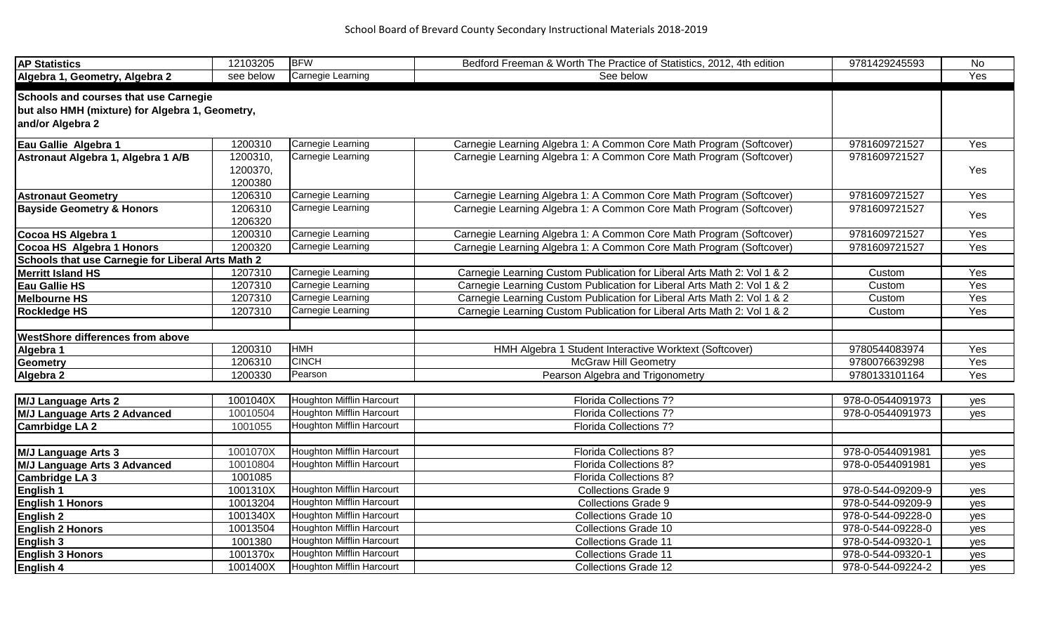| <b>AP Statistics</b>                              | 12103205  | <b>BFW</b>                | Bedford Freeman & Worth The Practice of Statistics, 2012, 4th edition   | 9781429245593     | No  |
|---------------------------------------------------|-----------|---------------------------|-------------------------------------------------------------------------|-------------------|-----|
| Algebra 1, Geometry, Algebra 2                    | see below | Carnegie Learning         | See below                                                               |                   | Yes |
| <b>Schools and courses that use Carnegie</b>      |           |                           |                                                                         |                   |     |
| but also HMH (mixture) for Algebra 1, Geometry,   |           |                           |                                                                         |                   |     |
| and/or Algebra 2                                  |           |                           |                                                                         |                   |     |
| Eau Gallie Algebra 1                              | 1200310   | Carnegie Learning         | Carnegie Learning Algebra 1: A Common Core Math Program (Softcover)     | 9781609721527     | Yes |
| Astronaut Algebra 1, Algebra 1 A/B                | 1200310,  | Carnegie Learning         | Carnegie Learning Algebra 1: A Common Core Math Program (Softcover)     | 9781609721527     |     |
|                                                   | 1200370,  |                           |                                                                         |                   | Yes |
|                                                   | 1200380   |                           |                                                                         |                   |     |
| <b>Astronaut Geometry</b>                         | 1206310   | Carnegie Learning         | Carnegie Learning Algebra 1: A Common Core Math Program (Softcover)     | 9781609721527     | Yes |
| <b>Bayside Geometry &amp; Honors</b>              | 1206310   | Carnegie Learning         | Carnegie Learning Algebra 1: A Common Core Math Program (Softcover)     | 9781609721527     |     |
|                                                   | 1206320   |                           |                                                                         |                   | Yes |
| Cocoa HS Algebra 1                                | 1200310   | Carnegie Learning         | Carnegie Learning Algebra 1: A Common Core Math Program (Softcover)     | 9781609721527     | Yes |
| Cocoa HS Algebra 1 Honors                         | 1200320   | Carnegie Learning         | Carnegie Learning Algebra 1: A Common Core Math Program (Softcover)     | 9781609721527     | Yes |
| Schools that use Carnegie for Liberal Arts Math 2 |           |                           |                                                                         |                   |     |
| <b>Merritt Island HS</b>                          | 1207310   | Carnegie Learning         | Carnegie Learning Custom Publication for Liberal Arts Math 2: Vol 1 & 2 | Custom            | Yes |
| <b>Eau Gallie HS</b>                              | 1207310   | Carnegie Learning         | Carnegie Learning Custom Publication for Liberal Arts Math 2: Vol 1 & 2 | Custom            | Yes |
| <b>Melbourne HS</b>                               | 1207310   | Carnegie Learning         | Carnegie Learning Custom Publication for Liberal Arts Math 2: Vol 1 & 2 | Custom            | Yes |
| <b>Rockledge HS</b>                               | 1207310   | Carnegie Learning         | Carnegie Learning Custom Publication for Liberal Arts Math 2: Vol 1 & 2 | Custom            | Yes |
|                                                   |           |                           |                                                                         |                   |     |
| <b>WestShore differences from above</b>           |           |                           |                                                                         |                   |     |
| Algebra 1                                         | 1200310   | <b>HMH</b>                | HMH Algebra 1 Student Interactive Worktext (Softcover)                  | 9780544083974     | Yes |
| <b>Geometry</b>                                   | 1206310   | <b>CINCH</b>              | <b>McGraw Hill Geometry</b>                                             | 9780076639298     | Yes |
| Algebra 2                                         | 1200330   | Pearson                   | Pearson Algebra and Trigonometry                                        | 9780133101164     | Yes |
|                                                   |           |                           |                                                                         |                   |     |
| <b>M/J Language Arts 2</b>                        | 1001040X  | Houghton Mifflin Harcourt | Florida Collections 7?                                                  | 978-0-0544091973  | yes |
| <b>M/J Language Arts 2 Advanced</b>               | 10010504  | Houghton Mifflin Harcourt | <b>Florida Collections 7?</b>                                           | 978-0-0544091973  | yes |
| <b>Camrbidge LA 2</b>                             | 1001055   | Houghton Mifflin Harcourt | Florida Collections 7?                                                  |                   |     |
|                                                   |           |                           |                                                                         |                   |     |
| <b>M/J Language Arts 3</b>                        | 1001070X  | Houghton Mifflin Harcourt | Florida Collections 8?                                                  | 978-0-0544091981  | yes |
| <b>M/J Language Arts 3 Advanced</b>               | 10010804  | Houghton Mifflin Harcourt | <b>Florida Collections 8?</b>                                           | 978-0-0544091981  | yes |
| <b>Cambridge LA 3</b>                             | 1001085   |                           | Florida Collections 8?                                                  |                   |     |
| English 1                                         | 1001310X  | Houghton Mifflin Harcourt | <b>Collections Grade 9</b>                                              | 978-0-544-09209-9 | yes |
| <b>English 1 Honors</b>                           | 10013204  | Houghton Mifflin Harcourt | <b>Collections Grade 9</b>                                              | 978-0-544-09209-9 | yes |
| English 2                                         | 1001340X  | Houghton Mifflin Harcourt | Collections Grade 10                                                    | 978-0-544-09228-0 | yes |
| <b>English 2 Honors</b>                           | 10013504  | Houghton Mifflin Harcourt | <b>Collections Grade 10</b>                                             | 978-0-544-09228-0 | yes |
| <b>English 3</b>                                  | 1001380   | Houghton Mifflin Harcourt | <b>Collections Grade 11</b>                                             | 978-0-544-09320-1 | yes |
| <b>English 3 Honors</b>                           | 1001370x  | Houghton Mifflin Harcourt | <b>Collections Grade 11</b>                                             | 978-0-544-09320-1 | yes |
| English 4                                         | 1001400X  | Houghton Mifflin Harcourt | <b>Collections Grade 12</b>                                             | 978-0-544-09224-2 | yes |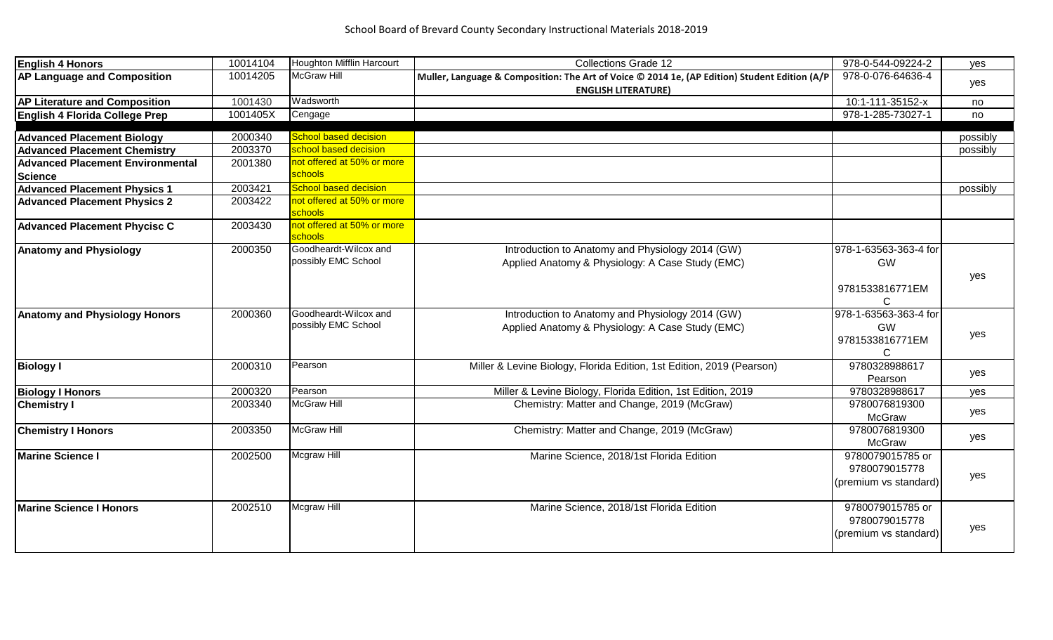| <b>English 4 Honors</b>                 | 10014104 | Houghton Mifflin Harcourt                    | <b>Collections Grade 12</b>                                                                                                 | 978-0-544-09224-2                                          | yes      |
|-----------------------------------------|----------|----------------------------------------------|-----------------------------------------------------------------------------------------------------------------------------|------------------------------------------------------------|----------|
| <b>AP Language and Composition</b>      | 10014205 | McGraw Hill                                  | Muller, Language & Composition: The Art of Voice © 2014 1e, (AP Edition) Student Edition (A/P<br><b>ENGLISH LITERATURE)</b> | 978-0-076-64636-4                                          | yes      |
| <b>AP Literature and Composition</b>    | 1001430  | Wadsworth                                    |                                                                                                                             | 10:1-111-35152-x                                           | no       |
| English 4 Florida College Prep          | 1001405X | Cengage                                      |                                                                                                                             | 978-1-285-73027-1                                          | no       |
|                                         |          |                                              |                                                                                                                             |                                                            |          |
| <b>Advanced Placement Biology</b>       | 2000340  | School based decision                        |                                                                                                                             |                                                            | possibly |
| <b>Advanced Placement Chemistry</b>     | 2003370  | school based decision                        |                                                                                                                             |                                                            | possibly |
| <b>Advanced Placement Environmental</b> | 2001380  | not offered at 50% or more                   |                                                                                                                             |                                                            |          |
| <b>Science</b>                          |          | schools                                      |                                                                                                                             |                                                            |          |
| <b>Advanced Placement Physics 1</b>     | 2003421  | School based decision                        |                                                                                                                             |                                                            | possibly |
| <b>Advanced Placement Physics 2</b>     | 2003422  | not offered at 50% or more<br>schools        |                                                                                                                             |                                                            |          |
| <b>Advanced Placement Phycisc C</b>     | 2003430  | not offered at 50% or more<br>schools        |                                                                                                                             |                                                            |          |
| <b>Anatomy and Physiology</b>           | 2000350  | Goodheardt-Wilcox and<br>possibly EMC School | Introduction to Anatomy and Physiology 2014 (GW)<br>Applied Anatomy & Physiology: A Case Study (EMC)                        | 978-1-63563-363-4 for<br><b>GW</b><br>9781533816771EM<br>С | yes      |
| <b>Anatomy and Physiology Honors</b>    | 2000360  | Goodheardt-Wilcox and<br>possibly EMC School | Introduction to Anatomy and Physiology 2014 (GW)<br>Applied Anatomy & Physiology: A Case Study (EMC)                        | 978-1-63563-363-4 for<br>GW<br>9781533816771EM<br>C        | yes      |
| <b>Biology I</b>                        | 2000310  | Pearson                                      | Miller & Levine Biology, Florida Edition, 1st Edition, 2019 (Pearson)                                                       | 9780328988617<br>Pearson                                   | yes      |
| <b>Biology I Honors</b>                 | 2000320  | Pearson                                      | Miller & Levine Biology, Florida Edition, 1st Edition, 2019                                                                 | 9780328988617                                              | yes      |
| <b>Chemistry I</b>                      | 2003340  | McGraw Hill                                  | Chemistry: Matter and Change, 2019 (McGraw)                                                                                 | 9780076819300<br>McGraw                                    | yes      |
| <b>Chemistry I Honors</b>               | 2003350  | <b>McGraw Hill</b>                           | Chemistry: Matter and Change, 2019 (McGraw)                                                                                 | 9780076819300<br>McGraw                                    | yes      |
| <b>Marine Science I</b>                 | 2002500  | Mcgraw Hill                                  | Marine Science, 2018/1st Florida Edition                                                                                    | 9780079015785 or<br>9780079015778<br>(premium vs standard) | yes      |
| Marine Science I Honors                 | 2002510  | Mcgraw Hill                                  | Marine Science, 2018/1st Florida Edition                                                                                    | 9780079015785 or<br>9780079015778<br>(premium vs standard) | yes      |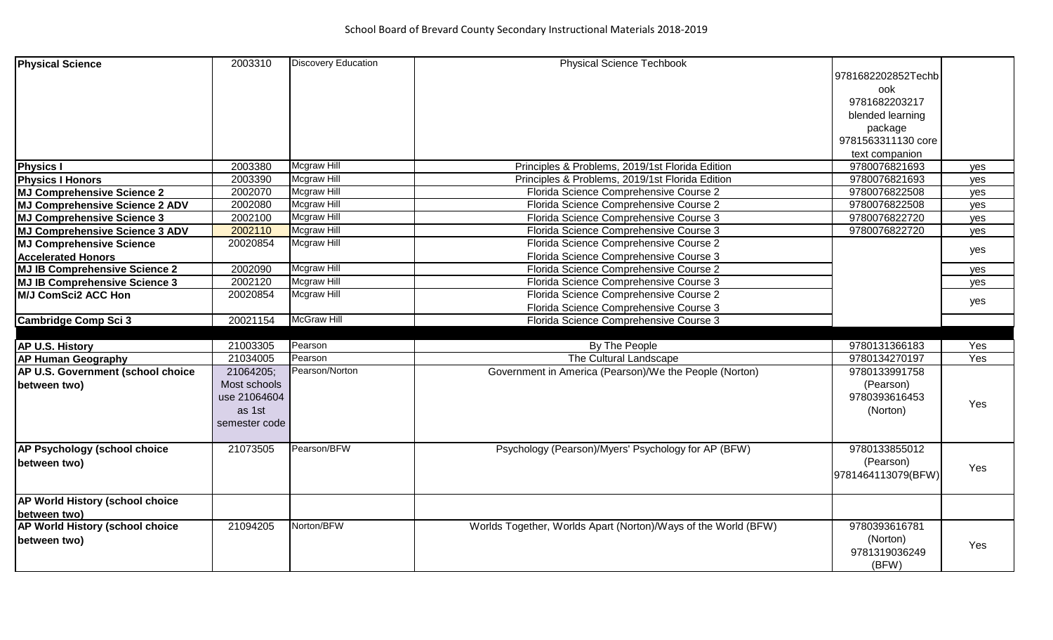| <b>Physical Science</b>                                                                                                                                                                                                                                                                                               | 2003310                                                                                          | <b>Discovery Education</b>                                                                              | <b>Physical Science Techbook</b>                                                                                                                                                                                                                                                                                                                                                                                                             |                                                                                                                                                       |                                                      |
|-----------------------------------------------------------------------------------------------------------------------------------------------------------------------------------------------------------------------------------------------------------------------------------------------------------------------|--------------------------------------------------------------------------------------------------|---------------------------------------------------------------------------------------------------------|----------------------------------------------------------------------------------------------------------------------------------------------------------------------------------------------------------------------------------------------------------------------------------------------------------------------------------------------------------------------------------------------------------------------------------------------|-------------------------------------------------------------------------------------------------------------------------------------------------------|------------------------------------------------------|
|                                                                                                                                                                                                                                                                                                                       |                                                                                                  |                                                                                                         |                                                                                                                                                                                                                                                                                                                                                                                                                                              | 9781682202852Techb                                                                                                                                    |                                                      |
|                                                                                                                                                                                                                                                                                                                       |                                                                                                  |                                                                                                         |                                                                                                                                                                                                                                                                                                                                                                                                                                              | ook                                                                                                                                                   |                                                      |
|                                                                                                                                                                                                                                                                                                                       |                                                                                                  |                                                                                                         |                                                                                                                                                                                                                                                                                                                                                                                                                                              | 9781682203217                                                                                                                                         |                                                      |
|                                                                                                                                                                                                                                                                                                                       |                                                                                                  |                                                                                                         |                                                                                                                                                                                                                                                                                                                                                                                                                                              | blended learning                                                                                                                                      |                                                      |
|                                                                                                                                                                                                                                                                                                                       |                                                                                                  |                                                                                                         |                                                                                                                                                                                                                                                                                                                                                                                                                                              | package                                                                                                                                               |                                                      |
|                                                                                                                                                                                                                                                                                                                       |                                                                                                  |                                                                                                         |                                                                                                                                                                                                                                                                                                                                                                                                                                              | 9781563311130 core                                                                                                                                    |                                                      |
|                                                                                                                                                                                                                                                                                                                       |                                                                                                  |                                                                                                         |                                                                                                                                                                                                                                                                                                                                                                                                                                              |                                                                                                                                                       |                                                      |
| <b>Physics I</b>                                                                                                                                                                                                                                                                                                      | 2003380                                                                                          | <b>Mcgraw Hill</b>                                                                                      | Principles & Problems, 2019/1st Florida Edition                                                                                                                                                                                                                                                                                                                                                                                              | text companion<br>9780076821693                                                                                                                       |                                                      |
|                                                                                                                                                                                                                                                                                                                       |                                                                                                  | <b>Mcgraw Hill</b>                                                                                      |                                                                                                                                                                                                                                                                                                                                                                                                                                              |                                                                                                                                                       | yes                                                  |
| <b>Physics I Honors</b>                                                                                                                                                                                                                                                                                               | 2003390                                                                                          |                                                                                                         | Principles & Problems, 2019/1st Florida Edition                                                                                                                                                                                                                                                                                                                                                                                              | 9780076821693                                                                                                                                         | yes                                                  |
| <b>MJ Comprehensive Science 2</b>                                                                                                                                                                                                                                                                                     | 2002070                                                                                          | Mcgraw Hill                                                                                             | Florida Science Comprehensive Course 2                                                                                                                                                                                                                                                                                                                                                                                                       | 9780076822508                                                                                                                                         | yes                                                  |
| <b>MJ Comprehensive Science 2 ADV</b>                                                                                                                                                                                                                                                                                 | 2002080                                                                                          | <b>Mcgraw Hill</b>                                                                                      | Florida Science Comprehensive Course 2                                                                                                                                                                                                                                                                                                                                                                                                       | 9780076822508                                                                                                                                         | yes                                                  |
| <b>MJ Comprehensive Science 3</b>                                                                                                                                                                                                                                                                                     | 2002100                                                                                          | Mcgraw Hill                                                                                             | Florida Science Comprehensive Course 3                                                                                                                                                                                                                                                                                                                                                                                                       | 9780076822720                                                                                                                                         | yes                                                  |
| <b>MJ Comprehensive Science 3 ADV</b>                                                                                                                                                                                                                                                                                 | 2002110                                                                                          | Mcgraw Hill                                                                                             | Florida Science Comprehensive Course 3                                                                                                                                                                                                                                                                                                                                                                                                       | 9780076822720                                                                                                                                         | <b>ves</b>                                           |
| <b>MJ Comprehensive Science</b>                                                                                                                                                                                                                                                                                       | 20020854                                                                                         | <b>Mcgraw Hill</b>                                                                                      | Florida Science Comprehensive Course 2                                                                                                                                                                                                                                                                                                                                                                                                       |                                                                                                                                                       | yes                                                  |
| <b>Accelerated Honors</b>                                                                                                                                                                                                                                                                                             |                                                                                                  |                                                                                                         | Florida Science Comprehensive Course 3                                                                                                                                                                                                                                                                                                                                                                                                       |                                                                                                                                                       |                                                      |
|                                                                                                                                                                                                                                                                                                                       |                                                                                                  |                                                                                                         |                                                                                                                                                                                                                                                                                                                                                                                                                                              |                                                                                                                                                       |                                                      |
|                                                                                                                                                                                                                                                                                                                       |                                                                                                  |                                                                                                         |                                                                                                                                                                                                                                                                                                                                                                                                                                              |                                                                                                                                                       |                                                      |
|                                                                                                                                                                                                                                                                                                                       |                                                                                                  |                                                                                                         |                                                                                                                                                                                                                                                                                                                                                                                                                                              |                                                                                                                                                       |                                                      |
|                                                                                                                                                                                                                                                                                                                       |                                                                                                  |                                                                                                         |                                                                                                                                                                                                                                                                                                                                                                                                                                              |                                                                                                                                                       |                                                      |
| <b>Cambridge Comp Sci 3</b>                                                                                                                                                                                                                                                                                           |                                                                                                  |                                                                                                         |                                                                                                                                                                                                                                                                                                                                                                                                                                              |                                                                                                                                                       |                                                      |
|                                                                                                                                                                                                                                                                                                                       |                                                                                                  |                                                                                                         |                                                                                                                                                                                                                                                                                                                                                                                                                                              |                                                                                                                                                       |                                                      |
| AP U.S. History                                                                                                                                                                                                                                                                                                       | 21003305                                                                                         |                                                                                                         |                                                                                                                                                                                                                                                                                                                                                                                                                                              |                                                                                                                                                       |                                                      |
| <b>AP Human Geography</b>                                                                                                                                                                                                                                                                                             | 21034005                                                                                         |                                                                                                         |                                                                                                                                                                                                                                                                                                                                                                                                                                              | 9780134270197                                                                                                                                         |                                                      |
|                                                                                                                                                                                                                                                                                                                       |                                                                                                  |                                                                                                         |                                                                                                                                                                                                                                                                                                                                                                                                                                              |                                                                                                                                                       |                                                      |
|                                                                                                                                                                                                                                                                                                                       | Most schools                                                                                     |                                                                                                         |                                                                                                                                                                                                                                                                                                                                                                                                                                              | (Pearson)                                                                                                                                             |                                                      |
|                                                                                                                                                                                                                                                                                                                       | use 21064604                                                                                     |                                                                                                         |                                                                                                                                                                                                                                                                                                                                                                                                                                              | 9780393616453                                                                                                                                         |                                                      |
|                                                                                                                                                                                                                                                                                                                       | as 1st                                                                                           |                                                                                                         |                                                                                                                                                                                                                                                                                                                                                                                                                                              |                                                                                                                                                       |                                                      |
|                                                                                                                                                                                                                                                                                                                       |                                                                                                  |                                                                                                         |                                                                                                                                                                                                                                                                                                                                                                                                                                              |                                                                                                                                                       |                                                      |
|                                                                                                                                                                                                                                                                                                                       |                                                                                                  |                                                                                                         |                                                                                                                                                                                                                                                                                                                                                                                                                                              |                                                                                                                                                       |                                                      |
|                                                                                                                                                                                                                                                                                                                       |                                                                                                  | Pearson/BFW                                                                                             |                                                                                                                                                                                                                                                                                                                                                                                                                                              |                                                                                                                                                       |                                                      |
|                                                                                                                                                                                                                                                                                                                       |                                                                                                  |                                                                                                         |                                                                                                                                                                                                                                                                                                                                                                                                                                              |                                                                                                                                                       |                                                      |
|                                                                                                                                                                                                                                                                                                                       |                                                                                                  |                                                                                                         |                                                                                                                                                                                                                                                                                                                                                                                                                                              |                                                                                                                                                       |                                                      |
|                                                                                                                                                                                                                                                                                                                       |                                                                                                  |                                                                                                         |                                                                                                                                                                                                                                                                                                                                                                                                                                              |                                                                                                                                                       |                                                      |
|                                                                                                                                                                                                                                                                                                                       |                                                                                                  |                                                                                                         |                                                                                                                                                                                                                                                                                                                                                                                                                                              |                                                                                                                                                       |                                                      |
|                                                                                                                                                                                                                                                                                                                       |                                                                                                  |                                                                                                         |                                                                                                                                                                                                                                                                                                                                                                                                                                              |                                                                                                                                                       |                                                      |
|                                                                                                                                                                                                                                                                                                                       |                                                                                                  | Norton/BFW                                                                                              |                                                                                                                                                                                                                                                                                                                                                                                                                                              |                                                                                                                                                       |                                                      |
|                                                                                                                                                                                                                                                                                                                       |                                                                                                  |                                                                                                         |                                                                                                                                                                                                                                                                                                                                                                                                                                              |                                                                                                                                                       |                                                      |
|                                                                                                                                                                                                                                                                                                                       |                                                                                                  |                                                                                                         |                                                                                                                                                                                                                                                                                                                                                                                                                                              |                                                                                                                                                       |                                                      |
|                                                                                                                                                                                                                                                                                                                       |                                                                                                  |                                                                                                         |                                                                                                                                                                                                                                                                                                                                                                                                                                              |                                                                                                                                                       |                                                      |
| <b>MJ IB Comprehensive Science 2</b><br><b>MJ IB Comprehensive Science 3</b><br><b>M/J ComSci2 ACC Hon</b><br>AP U.S. Government (school choice<br>between two)<br>AP Psychology (school choice<br>between two)<br>AP World History (school choice<br>between two)<br>AP World History (school choice<br>between two) | 2002090<br>2002120<br>20020854<br>20021154<br>21064205;<br>semester code<br>21073505<br>21094205 | Mcgraw Hill<br>Mcgraw Hill<br>Mcgraw Hill<br><b>McGraw Hill</b><br>Pearson<br>Pearson<br>Pearson/Norton | Florida Science Comprehensive Course 2<br>Florida Science Comprehensive Course 3<br>Florida Science Comprehensive Course 2<br>Florida Science Comprehensive Course 3<br>Florida Science Comprehensive Course 3<br>By The People<br>The Cultural Landscape<br>Government in America (Pearson)/We the People (Norton)<br>Psychology (Pearson)/Myers' Psychology for AP (BFW)<br>Worlds Together, Worlds Apart (Norton)/Ways of the World (BFW) | 9780131366183<br>9780133991758<br>(Norton)<br>9780133855012<br>(Pearson)<br>9781464113079(BFW)<br>9780393616781<br>(Norton)<br>9781319036249<br>(BFW) | yes<br>yes<br>yes<br>Yes<br>Yes<br>Yes<br>Yes<br>Yes |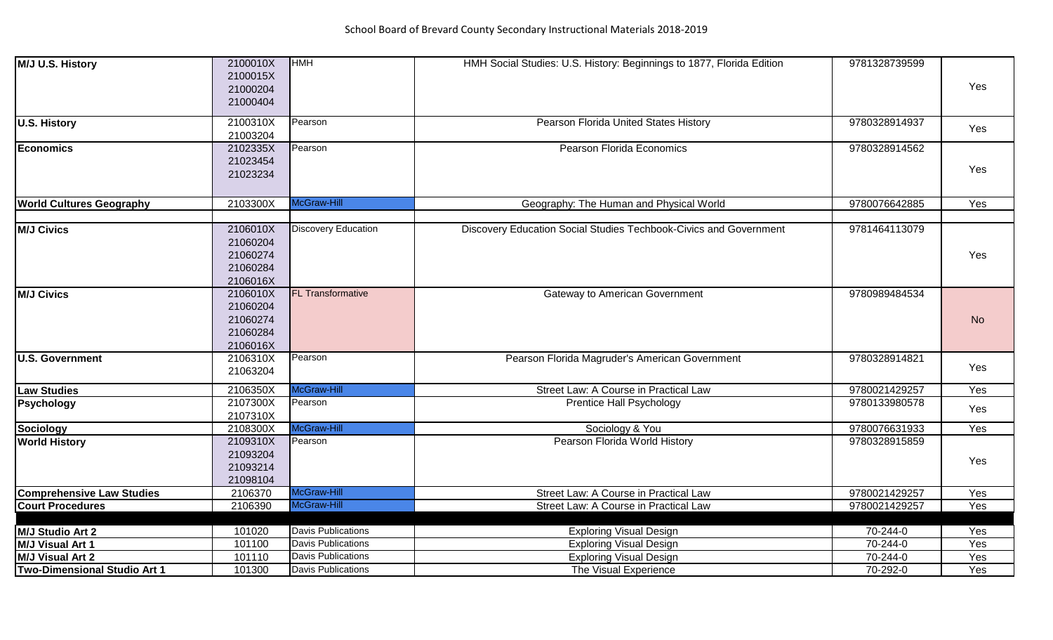| M/J U.S. History                    | 2100010X<br>2100015X<br>21000204<br>21000404             | <b>HMH</b>                 | HMH Social Studies: U.S. History: Beginnings to 1877, Florida Edition | 9781328739599 | Yes       |
|-------------------------------------|----------------------------------------------------------|----------------------------|-----------------------------------------------------------------------|---------------|-----------|
| <b>U.S. History</b>                 | 2100310X<br>21003204                                     | Pearson                    | Pearson Florida United States History                                 | 9780328914937 | Yes       |
| Economics                           | 2102335X<br>21023454<br>21023234                         | Pearson                    | Pearson Florida Economics                                             | 9780328914562 | Yes       |
| <b>World Cultures Geography</b>     | 2103300X                                                 | McGraw-Hill                | Geography: The Human and Physical World                               | 9780076642885 | Yes       |
| <b>M/J Civics</b>                   | 2106010X<br>21060204<br>21060274<br>21060284<br>2106016X | <b>Discovery Education</b> | Discovery Education Social Studies Techbook-Civics and Government     | 9781464113079 | Yes       |
| <b>M/J Civics</b>                   | 2106010X<br>21060204<br>21060274<br>21060284<br>2106016X | <b>FL Transformative</b>   | <b>Gateway to American Government</b>                                 | 9780989484534 | <b>No</b> |
| <b>U.S. Government</b>              | 2106310X<br>21063204                                     | Pearson                    | Pearson Florida Magruder's American Government                        | 9780328914821 | Yes       |
| <b>Law Studies</b>                  | 2106350X                                                 | McGraw-Hill                | Street Law: A Course in Practical Law                                 | 9780021429257 | Yes       |
| Psychology                          | 2107300X<br>2107310X                                     | Pearson                    | <b>Prentice Hall Psychology</b>                                       | 9780133980578 | Yes       |
| <b>Sociology</b>                    | 2108300X                                                 | McGraw-Hill                | Sociology & You                                                       | 9780076631933 | Yes       |
| <b>World History</b>                | 2109310X<br>21093204<br>21093214<br>21098104             | Pearson                    | Pearson Florida World History                                         | 9780328915859 | Yes       |
| <b>Comprehensive Law Studies</b>    | 2106370                                                  | McGraw-Hill                | Street Law: A Course in Practical Law                                 | 9780021429257 | Yes       |
| Court Procedures                    | 2106390                                                  | McGraw-Hill                | Street Law: A Course in Practical Law                                 | 9780021429257 | Yes       |
| M/J Studio Art 2                    | 101020                                                   | <b>Davis Publications</b>  | <b>Exploring Visual Design</b>                                        | 70-244-0      | Yes       |
| M/J Visual Art 1                    | 101100                                                   | <b>Davis Publications</b>  | <b>Exploring Visual Design</b>                                        | 70-244-0      | Yes       |
| <b>M/J Visual Art 2</b>             | 101110                                                   | <b>Davis Publications</b>  | <b>Exploring Visual Design</b>                                        | 70-244-0      | Yes       |
| <b>Two-Dimensional Studio Art 1</b> | 101300                                                   | <b>Davis Publications</b>  | The Visual Experience                                                 | 70-292-0      | Yes       |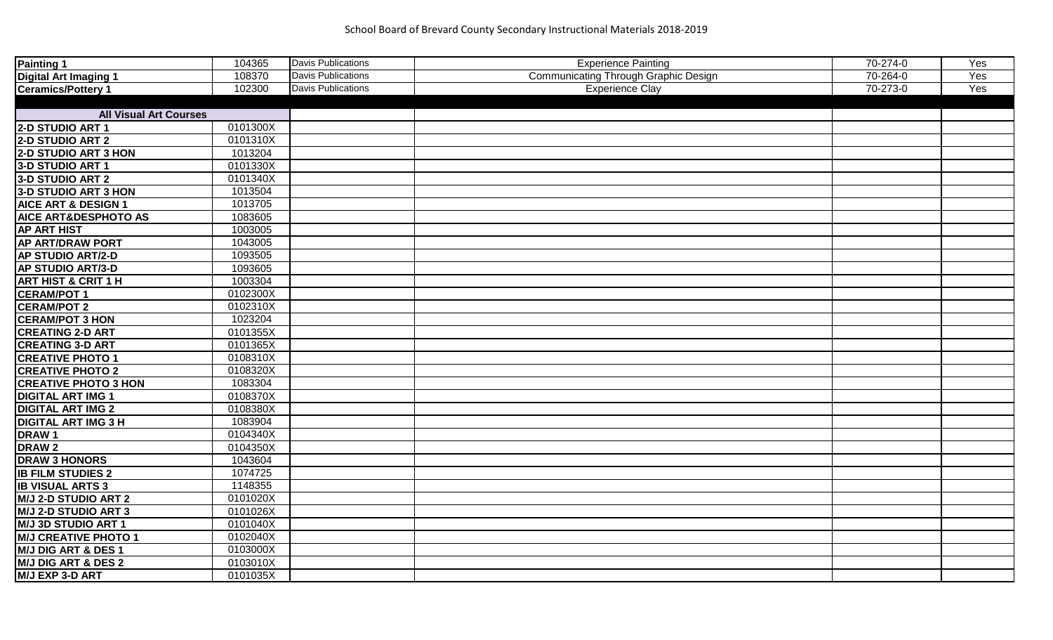| Painting 1                     | 104365   | Davis Publications        | <b>Experience Painting</b>           | 70-274-0 | Yes |
|--------------------------------|----------|---------------------------|--------------------------------------|----------|-----|
| <b>Digital Art Imaging 1</b>   | 108370   | <b>Davis Publications</b> | Communicating Through Graphic Design | 70-264-0 | Yes |
| <b>Ceramics/Pottery 1</b>      | 102300   | <b>Davis Publications</b> | <b>Experience Clay</b>               | 70-273-0 | Yes |
|                                |          |                           |                                      |          |     |
| <b>All Visual Art Courses</b>  |          |                           |                                      |          |     |
| 2-D STUDIO ART 1               | 0101300X |                           |                                      |          |     |
| 2-D STUDIO ART 2               | 0101310X |                           |                                      |          |     |
| 2-D STUDIO ART 3 HON           | 1013204  |                           |                                      |          |     |
| 3-D STUDIO ART 1               | 0101330X |                           |                                      |          |     |
| 3-D STUDIO ART 2               | 0101340X |                           |                                      |          |     |
| 3-D STUDIO ART 3 HON           | 1013504  |                           |                                      |          |     |
| <b>AICE ART &amp; DESIGN 1</b> | 1013705  |                           |                                      |          |     |
| AICE ART&DESPHOTO AS           | 1083605  |                           |                                      |          |     |
| <b>AP ART HIST</b>             | 1003005  |                           |                                      |          |     |
| <b>AP ART/DRAW PORT</b>        | 1043005  |                           |                                      |          |     |
| <b>AP STUDIO ART/2-D</b>       | 1093505  |                           |                                      |          |     |
| AP STUDIO ART/3-D              | 1093605  |                           |                                      |          |     |
| <b>ART HIST &amp; CRIT 1 H</b> | 1003304  |                           |                                      |          |     |
| <b>CERAM/POT 1</b>             | 0102300X |                           |                                      |          |     |
| <b>CERAM/POT 2</b>             | 0102310X |                           |                                      |          |     |
| <b>CERAM/POT 3 HON</b>         | 1023204  |                           |                                      |          |     |
| <b>CREATING 2-D ART</b>        | 0101355X |                           |                                      |          |     |
| <b>CREATING 3-D ART</b>        | 0101365X |                           |                                      |          |     |
| <b>CREATIVE PHOTO 1</b>        | 0108310X |                           |                                      |          |     |
| <b>CREATIVE PHOTO 2</b>        | 0108320X |                           |                                      |          |     |
| <b>CREATIVE PHOTO 3 HON</b>    | 1083304  |                           |                                      |          |     |
| <b>DIGITAL ART IMG 1</b>       | 0108370X |                           |                                      |          |     |
| <b>DIGITAL ART IMG 2</b>       | 0108380X |                           |                                      |          |     |
| <b>DIGITAL ART IMG 3 H</b>     | 1083904  |                           |                                      |          |     |
| DRAW <sub>1</sub>              | 0104340X |                           |                                      |          |     |
| <b>DRAW2</b>                   | 0104350X |                           |                                      |          |     |
| <b>DRAW 3 HONORS</b>           | 1043604  |                           |                                      |          |     |
| <b>IB FILM STUDIES 2</b>       | 1074725  |                           |                                      |          |     |
| <b>IB VISUAL ARTS 3</b>        | 1148355  |                           |                                      |          |     |
| <b>M/J 2-D STUDIO ART 2</b>    | 0101020X |                           |                                      |          |     |
| M/J 2-D STUDIO ART 3           | 0101026X |                           |                                      |          |     |
| <b>M/J 3D STUDIO ART 1</b>     | 0101040X |                           |                                      |          |     |
| <b>M/J CREATIVE PHOTO 1</b>    | 0102040X |                           |                                      |          |     |
| M/J DIG ART & DES 1            | 0103000X |                           |                                      |          |     |
| <b>M/J DIG ART &amp; DES 2</b> | 0103010X |                           |                                      |          |     |
| M/J EXP 3-D ART                | 0101035X |                           |                                      |          |     |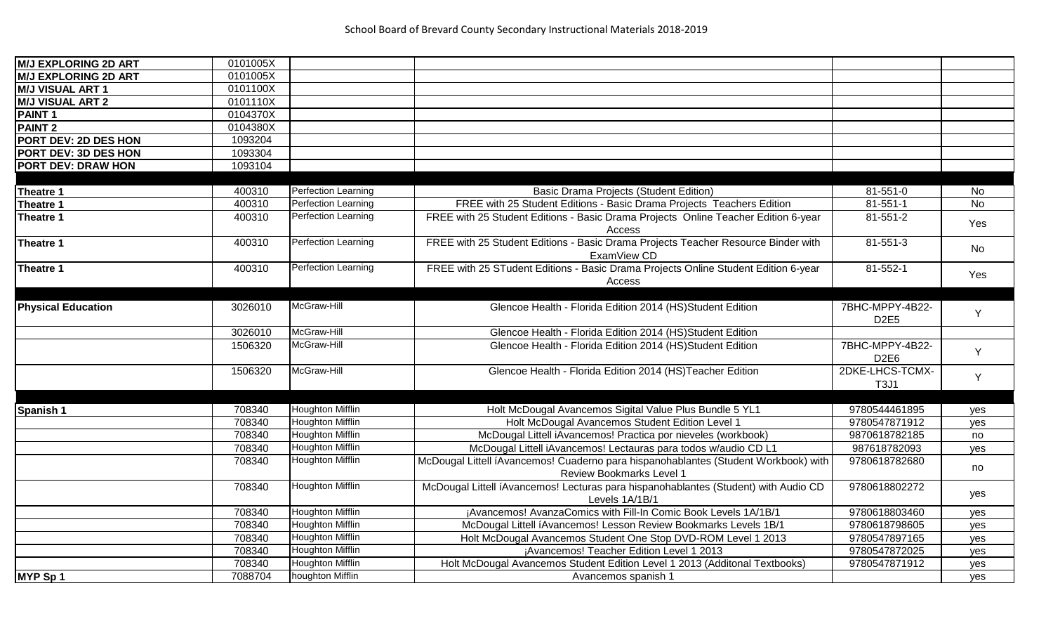| <b>M/J EXPLORING 2D ART</b> | 0101005X |                            |                                                                                     |                  |           |
|-----------------------------|----------|----------------------------|-------------------------------------------------------------------------------------|------------------|-----------|
| <b>M/J EXPLORING 2D ART</b> | 0101005X |                            |                                                                                     |                  |           |
| <b>M/J VISUAL ART 1</b>     | 0101100X |                            |                                                                                     |                  |           |
| <b>M/J VISUAL ART 2</b>     | 0101110X |                            |                                                                                     |                  |           |
| <b>PAINT1</b>               | 0104370X |                            |                                                                                     |                  |           |
| <b>PAINT 2</b>              | 0104380X |                            |                                                                                     |                  |           |
| PORT DEV: 2D DES HON        | 1093204  |                            |                                                                                     |                  |           |
| PORT DEV: 3D DES HON        | 1093304  |                            |                                                                                     |                  |           |
| PORT DEV: DRAW HON          | 1093104  |                            |                                                                                     |                  |           |
|                             |          |                            |                                                                                     |                  |           |
| Theatre 1                   | 400310   | <b>Perfection Learning</b> | <b>Basic Drama Projects (Student Edition)</b>                                       | 81-551-0         | No        |
| Theatre 1                   | 400310   | <b>Perfection Learning</b> | FREE with 25 Student Editions - Basic Drama Projects Teachers Edition               | $81 - 551 - 1$   | <b>No</b> |
| Theatre 1                   | 400310   | <b>Perfection Learning</b> | FREE with 25 Student Editions - Basic Drama Projects Online Teacher Edition 6-year  | $81 - 551 - 2$   |           |
|                             |          |                            | Access                                                                              |                  | Yes       |
| Theatre 1                   | 400310   | Perfection Learning        | FREE with 25 Student Editions - Basic Drama Projects Teacher Resource Binder with   | 81-551-3         |           |
|                             |          |                            | ExamView CD                                                                         |                  | No        |
| Theatre 1                   | 400310   | <b>Perfection Learning</b> | FREE with 25 STudent Editions - Basic Drama Projects Online Student Edition 6-year  | $81 - 552 - 1$   |           |
|                             |          |                            | Access                                                                              |                  | Yes       |
|                             |          |                            |                                                                                     |                  |           |
| <b>Physical Education</b>   | 3026010  | McGraw-Hill                | Glencoe Health - Florida Edition 2014 (HS)Student Edition                           | 7BHC-MPPY-4B22-  |           |
|                             |          |                            |                                                                                     | D <sub>2E5</sub> | Y         |
|                             | 3026010  | McGraw-Hill                | Glencoe Health - Florida Edition 2014 (HS)Student Edition                           |                  |           |
|                             | 1506320  | McGraw-Hill                | Glencoe Health - Florida Edition 2014 (HS)Student Edition                           | 7BHC-MPPY-4B22-  |           |
|                             |          |                            |                                                                                     | D <sub>2E6</sub> | Y         |
|                             | 1506320  | McGraw-Hill                | Glencoe Health - Florida Edition 2014 (HS)Teacher Edition                           | 2DKE-LHCS-TCMX-  |           |
|                             |          |                            |                                                                                     | <b>T3J1</b>      | Y         |
|                             |          |                            |                                                                                     |                  |           |
| <b>Spanish 1</b>            | 708340   | <b>Houghton Mifflin</b>    | Holt McDougal Avancemos Sigital Value Plus Bundle 5 YL1                             | 9780544461895    | yes       |
|                             | 708340   | <b>Houghton Mifflin</b>    | Holt McDougal Avancemos Student Edition Level 1                                     | 9780547871912    | yes       |
|                             | 708340   | <b>Houghton Mifflin</b>    | McDougal Littell iAvancemos! Practica por nieveles (workbook)                       | 9870618782185    | no        |
|                             | 708340   | <b>Houghton Mifflin</b>    | McDougal Littell iAvancemos! Lectauras para todos w/audio CD L1                     | 987618782093     | yes       |
|                             | 708340   | <b>Houghton Mifflin</b>    | McDougal Littell íAvancemos! Cuaderno para hispanohablantes (Student Workbook) with | 9780618782680    |           |
|                             |          |                            | <b>Review Bookmarks Level 1</b>                                                     |                  | no        |
|                             | 708340   | <b>Houghton Mifflin</b>    | McDougal Littell íAvancemos! Lecturas para hispanohablantes (Student) with Audio CD | 9780618802272    |           |
|                             |          |                            | Levels 1A/1B/1                                                                      |                  | yes       |
|                             | 708340   | <b>Houghton Mifflin</b>    | ¡Avancemos! AvanzaComics with Fill-In Comic Book Levels 1A/1B/1                     | 9780618803460    | yes       |
|                             | 708340   | <b>Houghton Mifflin</b>    | McDougal Littell íAvancemos! Lesson Review Bookmarks Levels 1B/1                    | 9780618798605    | yes       |
|                             | 708340   | <b>Houghton Mifflin</b>    | Holt McDougal Avancemos Student One Stop DVD-ROM Level 1 2013                       | 9780547897165    | yes       |
|                             | 708340   | <b>Houghton Mifflin</b>    | ¡Avancemos! Teacher Edition Level 1 2013                                            | 9780547872025    | yes       |
|                             | 708340   | <b>Houghton Mifflin</b>    | Holt McDougal Avancemos Student Edition Level 1 2013 (Additonal Textbooks)          | 9780547871912    | yes       |
| MYP Sp 1                    | 7088704  | houghton Mifflin           | Avancemos spanish 1                                                                 |                  | yes       |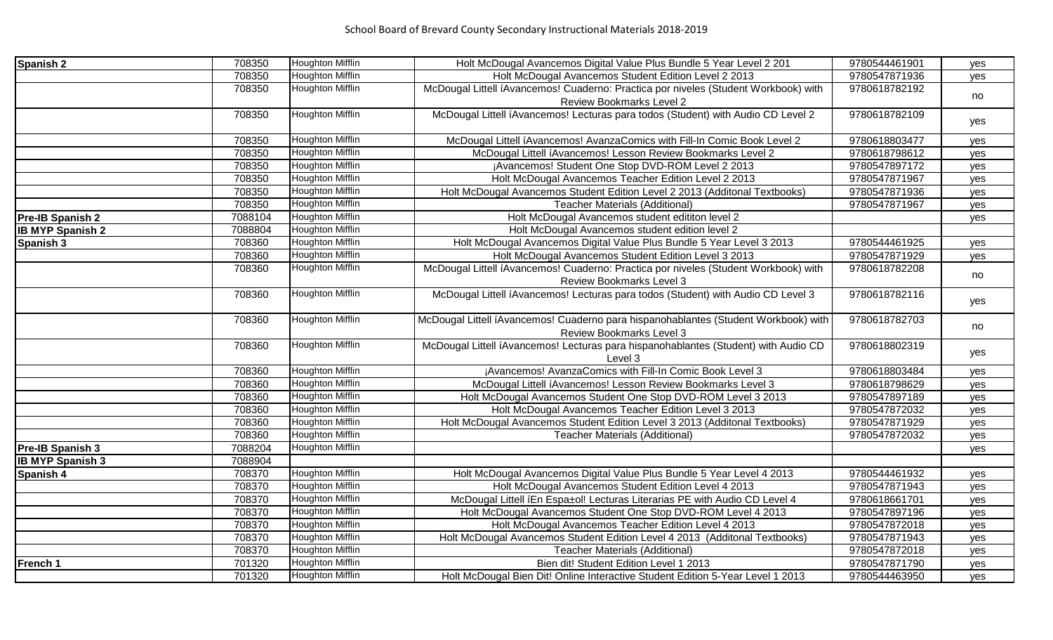| Spanish 2               | 708350  | <b>Houghton Mifflin</b> | Holt McDougal Avancemos Digital Value Plus Bundle 5 Year Level 2 201                | 9780544461901 | yes        |
|-------------------------|---------|-------------------------|-------------------------------------------------------------------------------------|---------------|------------|
|                         | 708350  | Houghton Mifflin        | Holt McDougal Avancemos Student Edition Level 2 2013                                | 9780547871936 | yes        |
|                         | 708350  | <b>Houghton Mifflin</b> | McDougal Littell íAvancemos! Cuaderno: Practica por niveles (Student Workbook) with | 9780618782192 | no         |
|                         |         |                         | Review Bookmarks Level 2                                                            |               |            |
|                         | 708350  | <b>Houghton Mifflin</b> | McDougal Littell íAvancemos! Lecturas para todos (Student) with Audio CD Level 2    | 9780618782109 | yes        |
|                         |         |                         |                                                                                     |               |            |
|                         | 708350  | <b>Houghton Mifflin</b> | McDougal Littell íAvancemos! AvanzaComics with Fill-In Comic Book Level 2           | 9780618803477 | yes        |
|                         | 708350  | <b>Houghton Mifflin</b> | McDougal Littell íAvancemos! Lesson Review Bookmarks Level 2                        | 9780618798612 | yes        |
|                         | 708350  | <b>Houghton Mifflin</b> | ¡Avancemos! Student One Stop DVD-ROM Level 2 2013                                   | 9780547897172 | yes        |
|                         | 708350  | <b>Houghton Mifflin</b> | Holt McDougal Avancemos Teacher Edition Level 2 2013                                | 9780547871967 | yes        |
|                         | 708350  | <b>Houghton Mifflin</b> | Holt McDougal Avancemos Student Edition Level 2 2013 (Additonal Textbooks)          | 9780547871936 | yes        |
|                         | 708350  | <b>Houghton Mifflin</b> | <b>Teacher Materials (Additional)</b>                                               | 9780547871967 | yes        |
| Pre-IB Spanish 2        | 7088104 | Houghton Mifflin        | Holt McDougal Avancemos student edititon level 2                                    |               | yes        |
| <b>IB MYP Spanish 2</b> | 7088804 | <b>Houghton Mifflin</b> | Holt McDougal Avancemos student edition level 2                                     |               |            |
| Spanish 3               | 708360  | Houghton Mifflin        | Holt McDougal Avancemos Digital Value Plus Bundle 5 Year Level 3 2013               | 9780544461925 | yes        |
|                         | 708360  | <b>Houghton Mifflin</b> | Holt McDougal Avancemos Student Edition Level 3 2013                                | 9780547871929 | yes        |
|                         | 708360  | <b>Houghton Mifflin</b> | McDougal Littell íAvancemos! Cuaderno: Practica por niveles (Student Workbook) with | 9780618782208 | no         |
|                         |         |                         | Review Bookmarks Level 3                                                            |               |            |
|                         | 708360  | <b>Houghton Mifflin</b> | McDougal Littell íAvancemos! Lecturas para todos (Student) with Audio CD Level 3    | 9780618782116 | yes        |
|                         |         |                         |                                                                                     |               |            |
|                         | 708360  | <b>Houghton Mifflin</b> | McDougal Littell íAvancemos! Cuaderno para hispanohablantes (Student Workbook) with | 9780618782703 | no         |
|                         |         |                         | <b>Review Bookmarks Level 3</b>                                                     |               |            |
|                         | 708360  | <b>Houghton Mifflin</b> | McDougal Littell íAvancemos! Lecturas para hispanohablantes (Student) with Audio CD | 9780618802319 | yes        |
|                         |         |                         | Level 3                                                                             |               |            |
|                         | 708360  | <b>Houghton Mifflin</b> | ¡Avancemos! AvanzaComics with Fill-In Comic Book Level 3                            | 9780618803484 | yes        |
|                         | 708360  | <b>Houghton Mifflin</b> | McDougal Littell íAvancemos! Lesson Review Bookmarks Level 3                        | 9780618798629 | yes        |
|                         | 708360  | <b>Houghton Mifflin</b> | Holt McDougal Avancemos Student One Stop DVD-ROM Level 3 2013                       | 9780547897189 | yes        |
|                         | 708360  | <b>Houghton Mifflin</b> | Holt McDougal Avancemos Teacher Edition Level 3 2013                                | 9780547872032 | yes        |
|                         | 708360  | <b>Houghton Mifflin</b> | Holt McDougal Avancemos Student Edition Level 3 2013 (Additonal Textbooks)          | 9780547871929 | yes        |
|                         | 708360  | <b>Houghton Mifflin</b> | <b>Teacher Materials (Additional)</b>                                               | 9780547872032 | yes        |
| Pre-IB Spanish 3        | 7088204 | <b>Houghton Mifflin</b> |                                                                                     |               | yes        |
| <b>IB MYP Spanish 3</b> | 7088904 |                         |                                                                                     |               |            |
| Spanish 4               | 708370  | <b>Houghton Mifflin</b> | Holt McDougal Avancemos Digital Value Plus Bundle 5 Year Level 4 2013               | 9780544461932 | <b>ves</b> |
|                         | 708370  | <b>Houghton Mifflin</b> | Holt McDougal Avancemos Student Edition Level 4 2013                                | 9780547871943 | yes        |
|                         | 708370  | Houghton Mifflin        | McDougal Littell íEn Espa±ol! Lecturas Literarias PE with Audio CD Level 4          | 9780618661701 | yes        |
|                         | 708370  | Houghton Mifflin        | Holt McDougal Avancemos Student One Stop DVD-ROM Level 4 2013                       | 9780547897196 | yes        |
|                         | 708370  | <b>Houghton Mifflin</b> | Holt McDougal Avancemos Teacher Edition Level 4 2013                                | 9780547872018 | yes        |
|                         | 708370  | <b>Houghton Mifflin</b> | Holt McDougal Avancemos Student Edition Level 4 2013 (Additonal Textbooks)          | 9780547871943 | yes        |
|                         | 708370  | <b>Houghton Mifflin</b> | <b>Teacher Materials (Additional)</b>                                               | 9780547872018 | yes        |
| French 1                | 701320  | <b>Houghton Mifflin</b> | Bien dit! Student Edition Level 1 2013                                              | 9780547871790 | yes        |
|                         | 701320  | Houghton Mifflin        | Holt McDougal Bien Dit! Online Interactive Student Edition 5-Year Level 1 2013      | 9780544463950 | yes        |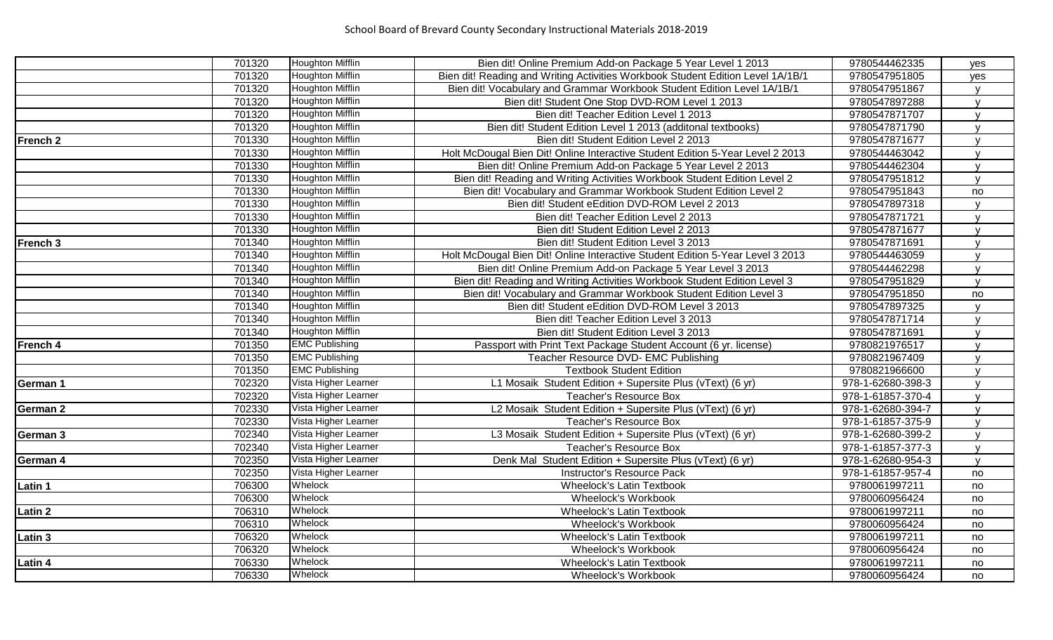|                 | 701320 | Houghton Mifflin        | Bien dit! Online Premium Add-on Package 5 Year Level 1 2013                     | 9780544462335     | yes            |
|-----------------|--------|-------------------------|---------------------------------------------------------------------------------|-------------------|----------------|
|                 | 701320 | Houghton Mifflin        | Bien dit! Reading and Writing Activities Workbook Student Edition Level 1A/1B/1 | 9780547951805     | yes            |
|                 | 701320 | Houghton Mifflin        | Bien dit! Vocabulary and Grammar Workbook Student Edition Level 1A/1B/1         | 9780547951867     | $\mathbf{v}$   |
|                 | 701320 | Houghton Mifflin        | Bien dit! Student One Stop DVD-ROM Level 1 2013                                 | 9780547897288     | $\mathsf{V}$   |
|                 | 701320 | Houghton Mifflin        | Bien dit! Teacher Edition Level 1 2013                                          | 9780547871707     | $\mathsf{V}$   |
|                 | 701320 | Houghton Mifflin        | Bien dit! Student Edition Level 1 2013 (additonal textbooks)                    | 9780547871790     | v              |
| French 2        | 701330 | Houghton Mifflin        | Bien dit! Student Edition Level 2 2013                                          | 9780547871677     | $\overline{V}$ |
|                 | 701330 | Houghton Mifflin        | Holt McDougal Bien Dit! Online Interactive Student Edition 5-Year Level 2 2013  | 9780544463042     | $\mathbf{V}$   |
|                 | 701330 | Houghton Mifflin        | Bien dit! Online Premium Add-on Package 5 Year Level 2 2013                     | 9780544462304     | $\mathsf{v}$   |
|                 | 701330 | <b>Houghton Mifflin</b> | Bien dit! Reading and Writing Activities Workbook Student Edition Level 2       | 9780547951812     | $\mathsf{V}$   |
|                 | 701330 | Houghton Mifflin        | Bien dit! Vocabulary and Grammar Workbook Student Edition Level 2               | 9780547951843     | no             |
|                 | 701330 | Houghton Mifflin        | Bien dit! Student eEdition DVD-ROM Level 2 2013                                 | 9780547897318     | v              |
|                 | 701330 | Houghton Mifflin        | Bien dit! Teacher Edition Level 2 2013                                          | 9780547871721     | $\mathbf{v}$   |
|                 | 701330 | Houghton Mifflin        | Bien dit! Student Edition Level 2 2013                                          | 9780547871677     | $\mathbf{v}$   |
| French 3        | 701340 | Houghton Mifflin        | Bien dit! Student Edition Level 3 2013                                          | 9780547871691     | $\mathbf{v}$   |
|                 | 701340 | <b>Houghton Mifflin</b> | Holt McDougal Bien Dit! Online Interactive Student Edition 5-Year Level 3 2013  | 9780544463059     | $\mathsf{V}$   |
|                 | 701340 | Houghton Mifflin        | Bien dit! Online Premium Add-on Package 5 Year Level 3 2013                     | 9780544462298     | $\mathsf{V}$   |
|                 | 701340 | Houghton Mifflin        | Bien dit! Reading and Writing Activities Workbook Student Edition Level 3       | 9780547951829     | $\mathbf{v}$   |
|                 | 701340 | Houghton Mifflin        | Bien dit! Vocabulary and Grammar Workbook Student Edition Level 3               | 9780547951850     | no             |
|                 | 701340 | Houghton Mifflin        | Bien dit! Student eEdition DVD-ROM Level 3 2013                                 | 9780547897325     | $\mathbf{v}$   |
|                 | 701340 | Houghton Mifflin        | Bien dit! Teacher Edition Level 3 2013                                          | 9780547871714     | $\mathsf{v}$   |
|                 | 701340 | Houghton Mifflin        | Bien dit! Student Edition Level 3 2013                                          | 9780547871691     | $\mathsf{v}$   |
| French 4        | 701350 | <b>EMC Publishing</b>   | Passport with Print Text Package Student Account (6 yr. license)                | 9780821976517     | V              |
|                 | 701350 | <b>EMC Publishing</b>   | Teacher Resource DVD- EMC Publishing                                            | 9780821967409     | $\mathbf{v}$   |
|                 | 701350 | <b>EMC Publishing</b>   | <b>Textbook Student Edition</b>                                                 | 9780821966600     | $\overline{V}$ |
| German 1        | 702320 | Vista Higher Learner    | L1 Mosaik Student Edition + Supersite Plus (vText) (6 yr)                       | 978-1-62680-398-3 | $\mathsf{V}$   |
|                 | 702320 | Vista Higher Learner    | Teacher's Resource Box                                                          | 978-1-61857-370-4 | $\mathsf{V}$   |
| German 2        | 702330 | Vista Higher Learner    | L2 Mosaik Student Edition + Supersite Plus (vText) (6 yr)                       | 978-1-62680-394-7 | $\mathsf{v}$   |
|                 | 702330 | Vista Higher Learner    | Teacher's Resource Box                                                          | 978-1-61857-375-9 | v              |
| <b>German 3</b> | 702340 | Vista Higher Learner    | L3 Mosaik Student Edition + Supersite Plus (vText) (6 yr)                       | 978-1-62680-399-2 | $\mathbf{v}$   |
|                 | 702340 | Vista Higher Learner    | Teacher's Resource Box                                                          | 978-1-61857-377-3 | $\mathbf{v}$   |
| German 4        | 702350 | Vista Higher Learner    | Denk Mal Student Edition + Supersite Plus (vText) (6 yr)                        | 978-1-62680-954-3 | $\mathsf{v}$   |
|                 | 702350 | Vista Higher Learner    | Instructor's Resource Pack                                                      | 978-1-61857-957-4 | no             |
| Latin 1         | 706300 | Whelock                 | <b>Wheelock's Latin Textbook</b>                                                | 9780061997211     | no             |
|                 | 706300 | Whelock                 | Wheelock's Workbook                                                             | 9780060956424     | no             |
| Latin 2         | 706310 | Whelock                 | <b>Wheelock's Latin Textbook</b>                                                | 9780061997211     | no             |
|                 | 706310 | Whelock                 | Wheelock's Workbook                                                             | 9780060956424     | no             |
| Latin 3         | 706320 | Whelock                 | <b>Wheelock's Latin Textbook</b>                                                | 9780061997211     | no             |
|                 | 706320 | Whelock                 | Wheelock's Workbook                                                             | 9780060956424     | no             |
| <b>Latin 4</b>  | 706330 | Whelock                 | <b>Wheelock's Latin Textbook</b>                                                | 9780061997211     | no             |
|                 | 706330 | Whelock                 | <b>Wheelock's Workbook</b>                                                      | 9780060956424     | no             |